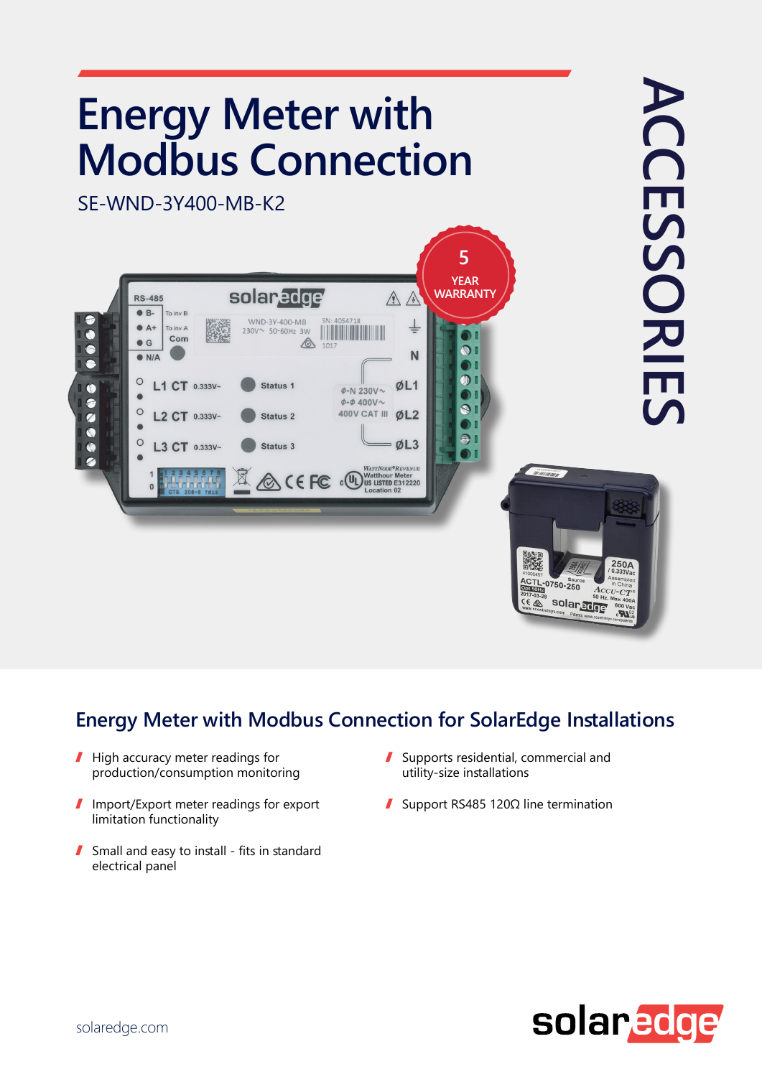

## **Energy Meter with Modbus Connection for SolarEdge Installations**

- ı High accuracy meter readings for production/consumption monitoring
- Import/Export meter readings for export  $\mathbf{I}$ limitation functionality
- $\blacksquare$  Small and easy to install fits in standard electrical panel
- $\mathbf{r}$ Supports residential, commercial and utility-size installations
- Support RS485 120 $\Omega$  line termination